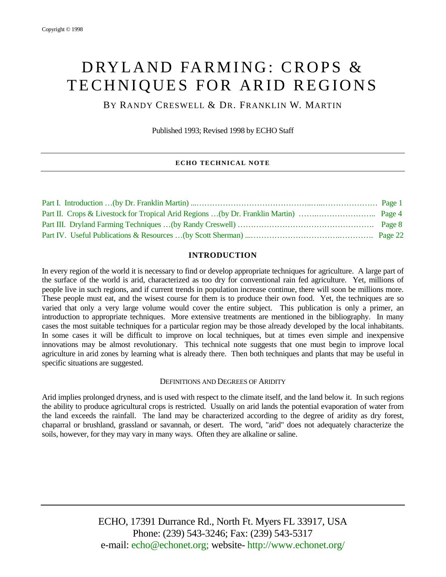# DRYLAND FARMING: CROPS & TECHNIQUES FOR ARID REGIONS

BY RANDY CRESWELL & DR. FRANKLIN W. MARTIN

Published 1993; Revised 1998 by ECHO Staff

## **ECHO TECHNICAL NOTE**

## **INTRODUCTION**

In every region of the world it is necessary to find or develop appropriate techniques for agriculture. A large part of the surface of the world is arid, characterized as too dry for conventional rain fed agriculture. Yet, millions of people live in such regions, and if current trends in population increase continue, there will soon be millions more. These people must eat, and the wisest course for them is to produce their own food. Yet, the techniques are so varied that only a very large volume would cover the entire subject. This publication is only a primer, an introduction to appropriate techniques. More extensive treatments are mentioned in the bibliography. In many cases the most suitable techniques for a particular region may be those already developed by the local inhabitants. In some cases it will be difficult to improve on local techniques, but at times even simple and inexpensive innovations may be almost revolutionary. This technical note suggests that one must begin to improve local agriculture in arid zones by learning what is already there. Then both techniques and plants that may be useful in specific situations are suggested.

## DEFINITIONS AND DEGREES OF ARIDITY

Arid implies prolonged dryness, and is used with respect to the climate itself, and the land below it. In such regions the ability to produce agricultural crops is restricted. Usually on arid lands the potential evaporation of water from the land exceeds the rainfall. The land may be characterized according to the degree of aridity as dry forest, chaparral or brushland, grassland or savannah, or desert. The word, "arid" does not adequately characterize the soils, however, for they may vary in many ways. Often they are alkaline or saline.

> ECHO, 17391 Durrance Rd., North Ft. Myers FL 33917, USA Phone: (239) 543-3246; Fax: (239) 543-5317 e-mail: echo@echonet.org; website- http://www.echonet.org/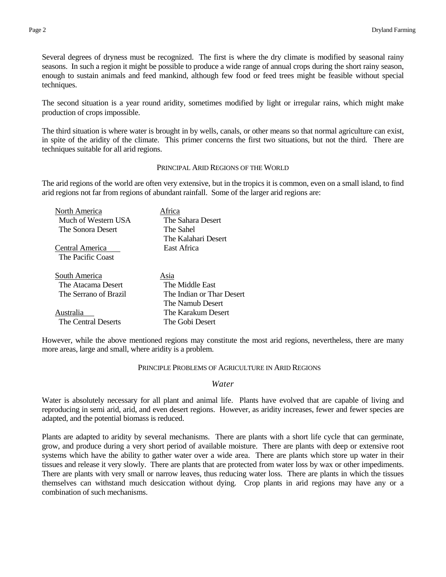Several degrees of dryness must be recognized. The first is where the dry climate is modified by seasonal rainy seasons. In such a region it might be possible to produce a wide range of annual crops during the short rainy season, enough to sustain animals and feed mankind, although few food or feed trees might be feasible without special techniques.

The second situation is a year round aridity, sometimes modified by light or irregular rains, which might make production of crops impossible.

The third situation is where water is brought in by wells, canals, or other means so that normal agriculture can exist, in spite of the aridity of the climate. This primer concerns the first two situations, but not the third. There are techniques suitable for all arid regions.

## PRINCIPAL ARID REGIONS OF THE WORLD

The arid regions of the world are often very extensive, but in the tropics it is common, even on a small island, to find arid regions not far from regions of abundant rainfall. Some of the larger arid regions are:

| North America         | Africa                    |
|-----------------------|---------------------------|
| Much of Western USA   | The Sahara Desert         |
| The Sonora Desert     | The Sahel                 |
|                       | The Kalahari Desert       |
| Central America       | East Africa               |
| The Pacific Coast     |                           |
| South America         | Asia                      |
| The Atacama Desert    | The Middle East           |
| The Serrano of Brazil | The Indian or Thar Desert |
|                       | The Namub Desert          |
| Australia             | The Karakum Desert        |
| The Central Deserts   | The Gobi Desert           |

However, while the above mentioned regions may constitute the most arid regions, nevertheless, there are many more areas, large and small, where aridity is a problem.

#### PRINCIPLE PROBLEMS OF AGRICULTURE IN ARID REGIONS

## *Water*

Water is absolutely necessary for all plant and animal life. Plants have evolved that are capable of living and reproducing in semi arid, arid, and even desert regions. However, as aridity increases, fewer and fewer species are adapted, and the potential biomass is reduced.

Plants are adapted to aridity by several mechanisms. There are plants with a short life cycle that can germinate, grow, and produce during a very short period of available moisture. There are plants with deep or extensive root systems which have the ability to gather water over a wide area. There are plants which store up water in their tissues and release it very slowly. There are plants that are protected from water loss by wax or other impediments. There are plants with very small or narrow leaves, thus reducing water loss. There are plants in which the tissues themselves can withstand much desiccation without dying. Crop plants in arid regions may have any or a combination of such mechanisms.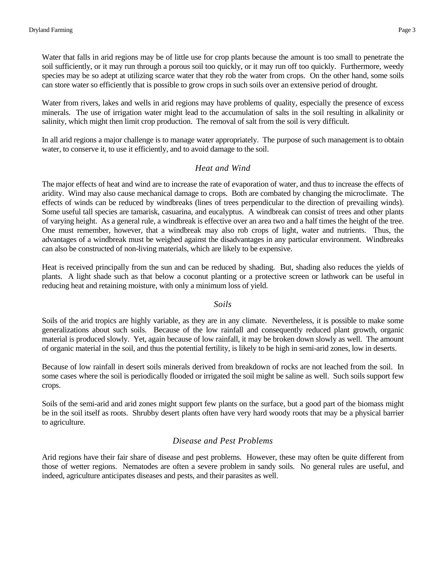Water that falls in arid regions may be of little use for crop plants because the amount is too small to penetrate the soil sufficiently, or it may run through a porous soil too quickly, or it may run off too quickly. Furthermore, weedy species may be so adept at utilizing scarce water that they rob the water from crops. On the other hand, some soils can store water so efficiently that is possible to grow crops in such soils over an extensive period of drought.

Water from rivers, lakes and wells in arid regions may have problems of quality, especially the presence of excess minerals. The use of irrigation water might lead to the accumulation of salts in the soil resulting in alkalinity or salinity, which might then limit crop production. The removal of salt from the soil is very difficult.

In all arid regions a major challenge is to manage water appropriately. The purpose of such management is to obtain water, to conserve it, to use it efficiently, and to avoid damage to the soil.

# *Heat and Wind*

The major effects of heat and wind are to increase the rate of evaporation of water, and thus to increase the effects of aridity. Wind may also cause mechanical damage to crops. Both are combated by changing the microclimate. The effects of winds can be reduced by windbreaks (lines of trees perpendicular to the direction of prevailing winds). Some useful tall species are tamarisk, casuarina, and eucalyptus. A windbreak can consist of trees and other plants of varying height. As a general rule, a windbreak is effective over an area two and a half times the height of the tree. One must remember, however, that a windbreak may also rob crops of light, water and nutrients. Thus, the advantages of a windbreak must be weighed against the disadvantages in any particular environment. Windbreaks can also be constructed of non-living materials, which are likely to be expensive.

Heat is received principally from the sun and can be reduced by shading. But, shading also reduces the yields of plants. A light shade such as that below a coconut planting or a protective screen or lathwork can be useful in reducing heat and retaining moisture, with only a minimum loss of yield.

# *Soils*

Soils of the arid tropics are highly variable, as they are in any climate. Nevertheless, it is possible to make some generalizations about such soils. Because of the low rainfall and consequently reduced plant growth, organic material is produced slowly. Yet, again because of low rainfall, it may be broken down slowly as well. The amount of organic material in the soil, and thus the potential fertility, is likely to be high in semi-arid zones, low in deserts.

Because of low rainfall in desert soils minerals derived from breakdown of rocks are not leached from the soil. In some cases where the soil is periodically flooded or irrigated the soil might be saline as well. Such soils support few crops.

Soils of the semi-arid and arid zones might support few plants on the surface, but a good part of the biomass might be in the soil itself as roots. Shrubby desert plants often have very hard woody roots that may be a physical barrier to agriculture.

# *Disease and Pest Problems*

Arid regions have their fair share of disease and pest problems. However, these may often be quite different from those of wetter regions. Nematodes are often a severe problem in sandy soils. No general rules are useful, and indeed, agriculture anticipates diseases and pests, and their parasites as well.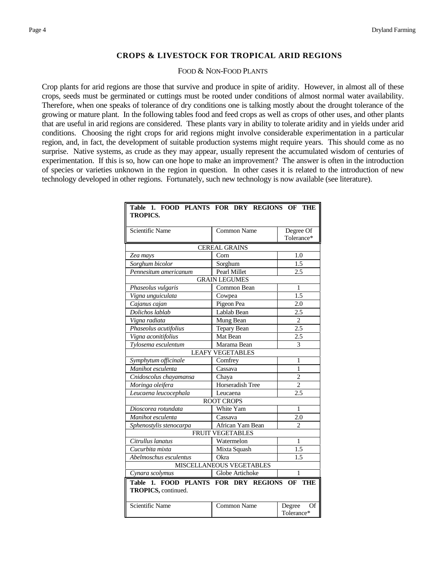# **CROPS & LIVESTOCK FOR TROPICAL ARID REGIONS**

## FOOD & NON-FOOD PLANTS

<span id="page-3-0"></span>Crop plants for arid regions are those that survive and produce in spite of aridity. However, in almost all of these crops, seeds must be germinated or cuttings must be rooted under conditions of almost normal water availability. Therefore, when one speaks of tolerance of dry conditions one is talking mostly about the drought tolerance of the growing or mature plant. In the following tables food and feed crops as well as crops of other uses, and other plants that are useful in arid regions are considered. These plants vary in ability to tolerate aridity and in yields under arid conditions. Choosing the right crops for arid regions might involve considerable experimentation in a particular region, and, in fact, the development of suitable production systems might require years. This should come as no surprise. Native systems, as crude as they may appear, usually represent the accumulated wisdom of centuries of experimentation. If this is so, how can one hope to make an improvement? The answer is often in the introduction of species or varieties unknown in the region in question. In other cases it is related to the introduction of new technology developed in other regions. Fortunately, such new technology is now available (see literature).

| Table 1. FOOD PLANTS FOR DRY REGIONS<br>OF<br>THE<br><b>TROPICS.</b> |                         |                            |  |  |
|----------------------------------------------------------------------|-------------------------|----------------------------|--|--|
| Scientific Name                                                      | <b>Common Name</b>      | Degree Of<br>Tolerance*    |  |  |
|                                                                      | <b>CEREAL GRAINS</b>    |                            |  |  |
| Zea mays                                                             | Corn                    | 1.0                        |  |  |
| Sorghum bicolor                                                      | Sorghum                 | 1.5                        |  |  |
| Pennesitum americanum                                                | Pearl Millet            | 2.5                        |  |  |
|                                                                      | <b>GRAIN LEGUMES</b>    |                            |  |  |
| Phaseolus vulgaris                                                   | Common Bean             | $\mathbf{1}$               |  |  |
| Vigna unguiculata                                                    | Cowpea                  | 1.5                        |  |  |
| Cajanus cajan                                                        | Pigeon Pea              | 2.0                        |  |  |
| Dolichos lablab                                                      | Lablab Bean             | 2.5                        |  |  |
| Vigna radiata                                                        | Mung Bean               | $\overline{c}$             |  |  |
| Phaseolus acutifolius                                                | Tepary Bean             | 2.5                        |  |  |
| Vigna aconitifolius                                                  | Mat Bean                | 2.5                        |  |  |
| Tylosema esculentum                                                  | Marama Bean             | 3                          |  |  |
|                                                                      | <b>LEAFY VEGETABLES</b> |                            |  |  |
| Symphytum officinale                                                 | Comfrey                 | 1                          |  |  |
| Manihot esculenta                                                    | Cassava                 | 1                          |  |  |
| Cnidoscolus chayamansa                                               | Chaya                   | $\overline{c}$             |  |  |
| Moringa oleifera                                                     | Horseradish Tree        | $\overline{c}$             |  |  |
| Leucaena leucocephala                                                | Leucaena                | 2.5                        |  |  |
|                                                                      | <b>ROOT CROPS</b>       |                            |  |  |
| Dioscorea rotundata                                                  | White Yam               | 1                          |  |  |
| Manihot esculenta                                                    | Cassava                 | 2.0                        |  |  |
| Sphenostylis stenocarpa                                              | African Yam Bean        | $\mathfrak{D}$             |  |  |
|                                                                      | <b>FRUIT VEGETABLES</b> | $\mathbf{1}$               |  |  |
| Citrullus lanatus                                                    | Watermelon              |                            |  |  |
| Cucurbita mixta                                                      | Mixta Squash            | 1.5                        |  |  |
| Abelmoschus esculentus                                               | Okra                    | 1.5                        |  |  |
| <b>MISCELLANEOUS VEGETABLES</b>                                      |                         |                            |  |  |
| Cynara scolymus                                                      | Globe Artichoke         | 1                          |  |  |
| Table 1. FOOD PLANTS FOR DRY REGIONS OF THE<br>TROPICS, continued.   |                         |                            |  |  |
| <b>Scientific Name</b>                                               | <b>Common Name</b>      | Degree<br>Of<br>Tolerance* |  |  |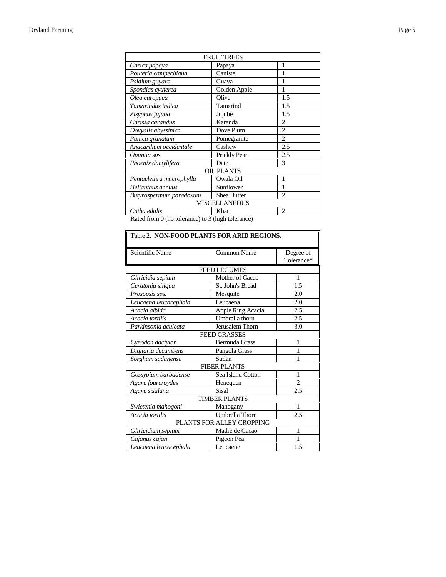| <b>FRUIT TREES</b>       |                   |                |  |  |  |
|--------------------------|-------------------|----------------|--|--|--|
| Carica papaya            | Papaya            | 1              |  |  |  |
| Pouteria campechiana     | Canistel          | 1              |  |  |  |
| Psidium guyava           | Guava             |                |  |  |  |
| Spondias cytherea        | Golden Apple      | 1              |  |  |  |
| Olea europaea            | Olive             | 1.5            |  |  |  |
| Tamarindus indica        | Tamarind          | 1.5            |  |  |  |
| Zizyphus jujuba          | Jujube            | 1.5            |  |  |  |
| Carissa carandus         | Karanda           | $\overline{c}$ |  |  |  |
| Dovyalis abyssinica      | Dove Plum         | $\mathfrak{D}$ |  |  |  |
| Punica granatum          | Pomegranite       | $\overline{c}$ |  |  |  |
| Anacardium occidentale   | Cashew            | 2.5            |  |  |  |
| Opuntia sps.             | Prickly Pear      | 2.5            |  |  |  |
| Phoenix dactylifera      | Date              | 3              |  |  |  |
|                          | <b>OIL PLANTS</b> |                |  |  |  |
| Pentaclethra macrophylla | Owala Oil         | 1              |  |  |  |
| Helianthus annuus        | Sunflower         |                |  |  |  |
| Butyrospermum paradoxum  | Shea Butter       | $\overline{c}$ |  |  |  |
| <b>MISCELLANEOUS</b>     |                   |                |  |  |  |
| Catha edulis             | Khat              | $\overline{c}$ |  |  |  |

Rated from 0 (no tolerance) to 3 (high tolerance)

| Table 2. NON-FOOD PLANTS FOR ARID REGIONS. |                       |                |  |  |
|--------------------------------------------|-----------------------|----------------|--|--|
| Scientific Name                            | <b>Common Name</b>    | Degree of      |  |  |
|                                            |                       | Tolerance*     |  |  |
|                                            | <b>FEED LEGUMES</b>   |                |  |  |
| Gliricidia sepium                          | Mother of Cacao       | 1              |  |  |
| Ceratonia siliqua                          | St. John's Bread      | 1.5            |  |  |
| Prosopsis sps.                             | Mesquite              | 2.0            |  |  |
| Leucaena leucacephala                      | Leucaena              | 2.0            |  |  |
| Acacia albida                              | Apple Ring Acacia     | 2.5            |  |  |
| Acacia tortilis                            | Umbrella thorn        | 2.5            |  |  |
| Parkinsonia aculeata                       | Jerusalem Thorn       | 3.0            |  |  |
|                                            | <b>FEED GRASSES</b>   |                |  |  |
| Cynodon dactylon                           | <b>Bermuda Grass</b>  | 1              |  |  |
| Digitaria decumbens                        | Pangola Grass         | 1              |  |  |
| Sorghum sudanense                          | Sudan                 | 1              |  |  |
|                                            | <b>FIBER PLANTS</b>   |                |  |  |
| Gossypium barbadense                       | Sea Island Cotton     | 1              |  |  |
| Agave fourcroydes                          | Henequen              | $\overline{2}$ |  |  |
| Agave sisalana                             | <b>Sisal</b>          | 2.5            |  |  |
| <b>TIMBER PLANTS</b>                       |                       |                |  |  |
| Swietenia mahogoni                         | Mahogany              | 1              |  |  |
| Acacia tortilis                            | <b>Umbrella</b> Thorn |                |  |  |
| PLANTS FOR ALLEY CROPPING                  |                       |                |  |  |
| Gliricidium sepium                         | Madre de Cacao        | 1              |  |  |
| Pigeon Pea<br>Cajanus cajan                |                       | 1              |  |  |
| Leucaena leucacephala<br>1.5<br>Leucaene   |                       |                |  |  |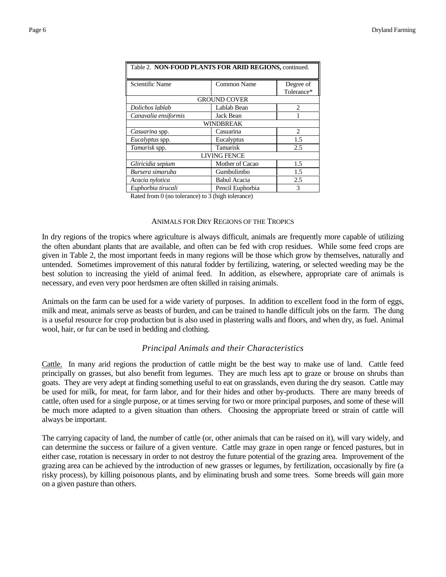| Table 2. NON-FOOD PLANTS FOR ARID REGIONS, continued. |                         |                               |  |  |
|-------------------------------------------------------|-------------------------|-------------------------------|--|--|
| Scientific Name                                       | Degree of<br>Tolerance* |                               |  |  |
|                                                       | <b>GROUND COVER</b>     |                               |  |  |
| Dolichos lablab                                       | Lablab Bean             | $\mathfrak{D}_{\mathfrak{p}}$ |  |  |
| Canavalia ensiformis<br>Jack Bean                     |                         |                               |  |  |
|                                                       | <b>WINDBREAK</b>        |                               |  |  |
| Casuarina spp.                                        | Casuarina               | $\mathfrak{D}_{\mathfrak{p}}$ |  |  |
| <i>Eucalyptus</i> spp.                                | Eucalyptus              | 1.5                           |  |  |
| Tamarisk spp.                                         | Tamarisk                | 2.5                           |  |  |
| <b>LIVING FENCE</b>                                   |                         |                               |  |  |
| Gliricidia sepium                                     | Mother of Cacao         | 1.5                           |  |  |
| Bursera simaruba                                      | Gumbolimbo              | 1.5                           |  |  |
| Acacia nylotica                                       | <b>Babul Acacia</b>     | 2.5                           |  |  |
| 3<br>Euphorbia tirucali<br>Pencil Euphorbia           |                         |                               |  |  |

Rated from 0 (no tolerance) to 3 (high tolerance)

#### ANIMALS FOR DRY REGIONS OF THE TROPICS

In dry regions of the tropics where agriculture is always difficult, animals are frequently more capable of utilizing the often abundant plants that are available, and often can be fed with crop residues. While some feed crops are given in Table 2, the most important feeds in many regions will be those which grow by themselves, naturally and untended. Sometimes improvement of this natural fodder by fertilizing, watering, or selected weeding may be the best solution to increasing the yield of animal feed. In addition, as elsewhere, appropriate care of animals is necessary, and even very poor herdsmen are often skilled in raising animals.

Animals on the farm can be used for a wide variety of purposes. In addition to excellent food in the form of eggs, milk and meat, animals serve as beasts of burden, and can be trained to handle difficult jobs on the farm. The dung is a useful resource for crop production but is also used in plastering walls and floors, and when dry, as fuel. Animal wool, hair, or fur can be used in bedding and clothing.

## *Principal Animals and their Characteristics*

Cattle. In many arid regions the production of cattle might be the best way to make use of land. Cattle feed principally on grasses, but also benefit from legumes. They are much less apt to graze or brouse on shrubs than goats. They are very adept at finding something useful to eat on grasslands, even during the dry season. Cattle may be used for milk, for meat, for farm labor, and for their hides and other by-products. There are many breeds of cattle, often used for a single purpose, or at times serving for two or more principal purposes, and some of these will be much more adapted to a given situation than others. Choosing the appropriate breed or strain of cattle will always be important.

The carrying capacity of land, the number of cattle (or, other animals that can be raised on it), will vary widely, and can determine the success or failure of a given venture. Cattle may graze in open range or fenced pastures, but in either case, rotation is necessary in order to not destroy the future potential of the grazing area. Improvement of the grazing area can be achieved by the introduction of new grasses or legumes, by fertilization, occasionally by fire (a risky process), by killing poisonous plants, and by eliminating brush and some trees. Some breeds will gain more on a given pasture than others.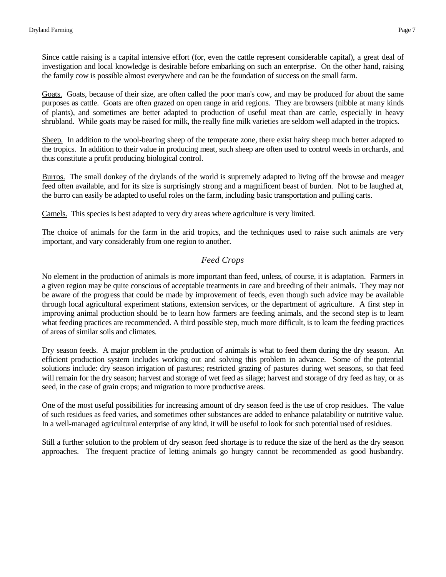Since cattle raising is a capital intensive effort (for, even the cattle represent considerable capital), a great deal of investigation and local knowledge is desirable before embarking on such an enterprise. On the other hand, raising the family cow is possible almost everywhere and can be the foundation of success on the small farm.

Goats. Goats, because of their size, are often called the poor man's cow, and may be produced for about the same purposes as cattle. Goats are often grazed on open range in arid regions. They are browsers (nibble at many kinds of plants), and sometimes are better adapted to production of useful meat than are cattle, especially in heavy shrubland. While goats may be raised for milk, the really fine milk varieties are seldom well adapted in the tropics.

Sheep. In addition to the wool-bearing sheep of the temperate zone, there exist hairy sheep much better adapted to the tropics. In addition to their value in producing meat, such sheep are often used to control weeds in orchards, and thus constitute a profit producing biological control.

Burros. The small donkey of the drylands of the world is supremely adapted to living off the browse and meager feed often available, and for its size is surprisingly strong and a magnificent beast of burden. Not to be laughed at, the burro can easily be adapted to useful roles on the farm, including basic transportation and pulling carts.

Camels. This species is best adapted to very dry areas where agriculture is very limited.

The choice of animals for the farm in the arid tropics, and the techniques used to raise such animals are very important, and vary considerably from one region to another.

# *Feed Crops*

No element in the production of animals is more important than feed, unless, of course, it is adaptation. Farmers in a given region may be quite conscious of acceptable treatments in care and breeding of their animals. They may not be aware of the progress that could be made by improvement of feeds, even though such advice may be available through local agricultural experiment stations, extension services, or the department of agriculture. A first step in improving animal production should be to learn how farmers are feeding animals, and the second step is to learn what feeding practices are recommended. A third possible step, much more difficult, is to learn the feeding practices of areas of similar soils and climates.

Dry season feeds. A major problem in the production of animals is what to feed them during the dry season. An efficient production system includes working out and solving this problem in advance. Some of the potential solutions include: dry season irrigation of pastures; restricted grazing of pastures during wet seasons, so that feed will remain for the dry season; harvest and storage of wet feed as silage; harvest and storage of dry feed as hay, or as seed, in the case of grain crops; and migration to more productive areas.

One of the most useful possibilities for increasing amount of dry season feed is the use of crop residues. The value of such residues as feed varies, and sometimes other substances are added to enhance palatability or nutritive value. In a well-managed agricultural enterprise of any kind, it will be useful to look for such potential used of residues.

Still a further solution to the problem of dry season feed shortage is to reduce the size of the herd as the dry season approaches. The frequent practice of letting animals go hungry cannot be recommended as good husbandry.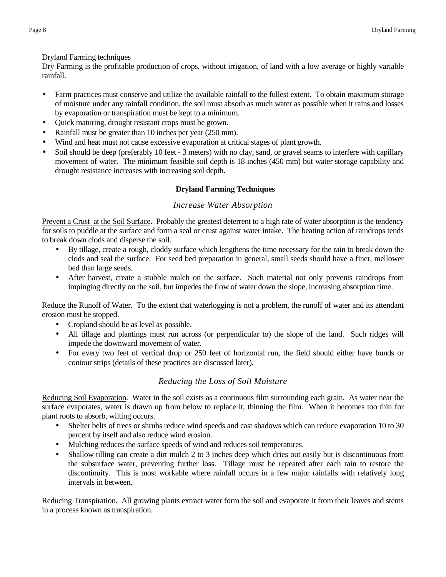<span id="page-7-0"></span>Dryland Farming techniques

Dry Farming is the profitable production of crops, without irrigation, of land with a low average or highly variable rainfall.

- Farm practices must conserve and utilize the available rainfall to the fullest extent. To obtain maximum storage of moisture under any rainfall condition, the soil must absorb as much water as possible when it rains and losses by evaporation or transpiration must be kept to a minimum.
- Ouick maturing, drought resistant crops must be grown.
- Rainfall must be greater than 10 inches per year (250 mm).
- Wind and heat must not cause excessive evaporation at critical stages of plant growth.
- Soil should be deep (preferably 10 feet 3 meters) with no clay, sand, or gravel seams to interfere with capillary movement of water. The minimum feasible soil depth is 18 inches (450 mm) but water storage capability and drought resistance increases with increasing soil depth.

# **Dryland Farming Techniques**

# *Increase Water Absorption*

Prevent a Crust at the Soil Surface. Probably the greatest deterrent to a high rate of water absorption is the tendency for soils to puddle at the surface and form a seal or crust against water intake. The beating action of raindrops tends to break down clods and disperse the soil.

- By tillage, create a rough, cloddy surface which lengthens the time necessary for the rain to break down the clods and seal the surface. For seed bed preparation in general, small seeds should have a finer, mellower bed than large seeds.
- After harvest, create a stubble mulch on the surface. Such material not only prevents raindrops from impinging directly on the soil, but impedes the flow of water down the slope, increasing absorption time.

Reduce the Runoff of Water. To the extent that waterlogging is not a problem, the runoff of water and its attendant erosion must be stopped.

- Cropland should be as level as possible.
- All tillage and plantings must run across (or perpendicular to) the slope of the land. Such ridges will impede the downward movement of water.
- For every two feet of vertical drop or 250 feet of horizontal run, the field should either have bunds or contour strips (details of these practices are discussed later).

# *Reducing the Loss of Soil Moisture*

Reducing Soil Evaporation. Water in the soil exists as a continuous film surrounding each grain. As water near the surface evaporates, water is drawn up from below to replace it, thinning the film. When it becomes too thin for plant roots to absorb, wilting occurs.

- Shelter belts of trees or shrubs reduce wind speeds and cast shadows which can reduce evaporation 10 to 30 percent by itself and also reduce wind erosion.
- Mulching reduces the surface speeds of wind and reduces soil temperatures.
- Shallow tilling can create a dirt mulch 2 to 3 inches deep which dries out easily but is discontinuous from the subsurface water, preventing further loss. Tillage must be repeated after each rain to restore the discontinuity. This is most workable where rainfall occurs in a few major rainfalls with relatively long intervals in between.

Reducing Transpiration. All growing plants extract water form the soil and evaporate it from their leaves and stems in a process known as transpiration.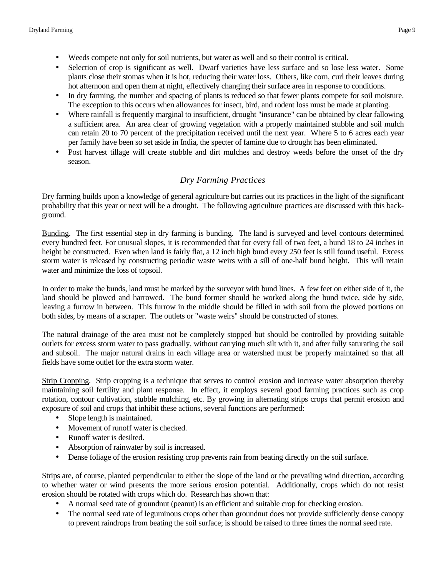- Weeds compete not only for soil nutrients, but water as well and so their control is critical.
- Selection of crop is significant as well. Dwarf varieties have less surface and so lose less water. Some plants close their stomas when it is hot, reducing their water loss. Others, like corn, curl their leaves during hot afternoon and open them at night, effectively changing their surface area in response to conditions.
- In dry farming, the number and spacing of plants is reduced so that fewer plants compete for soil moisture. The exception to this occurs when allowances for insect, bird, and rodent loss must be made at planting.
- Where rainfall is frequently marginal to insufficient, drought "insurance" can be obtained by clear fallowing a sufficient area. An area clear of growing vegetation with a properly maintained stubble and soil mulch can retain 20 to 70 percent of the precipitation received until the next year. Where 5 to 6 acres each year per family have been so set aside in India, the specter of famine due to drought has been eliminated.
- Post harvest tillage will create stubble and dirt mulches and destroy weeds before the onset of the dry season.

# *Dry Farming Practices*

Dry farming builds upon a knowledge of general agriculture but carries out its practices in the light of the significant probability that this year or next will be a drought. The following agriculture practices are discussed with this background.

Bunding. The first essential step in dry farming is bunding. The land is surveyed and level contours determined every hundred feet. For unusual slopes, it is recommended that for every fall of two feet, a bund 18 to 24 inches in height be constructed. Even when land is fairly flat, a 12 inch high bund every 250 feet is still found useful. Excess storm water is released by constructing periodic waste weirs with a sill of one-half bund height. This will retain water and minimize the loss of topsoil.

In order to make the bunds, land must be marked by the surveyor with bund lines. A few feet on either side of it, the land should be plowed and harrowed. The bund former should be worked along the bund twice, side by side, leaving a furrow in between. This furrow in the middle should be filled in with soil from the plowed portions on both sides, by means of a scraper. The outlets or "waste weirs" should be constructed of stones.

The natural drainage of the area must not be completely stopped but should be controlled by providing suitable outlets for excess storm water to pass gradually, without carrying much silt with it, and after fully saturating the soil and subsoil. The major natural drains in each village area or watershed must be properly maintained so that all fields have some outlet for the extra storm water.

Strip Cropping. Strip cropping is a technique that serves to control erosion and increase water absorption thereby maintaining soil fertility and plant response. In effect, it employs several good farming practices such as crop rotation, contour cultivation, stubble mulching, etc. By growing in alternating strips crops that permit erosion and exposure of soil and crops that inhibit these actions, several functions are performed:

- Slope length is maintained.
- Movement of runoff water is checked.
- Runoff water is desilted.
- Absorption of rainwater by soil is increased.
- Dense foliage of the erosion resisting crop prevents rain from beating directly on the soil surface.

Strips are, of course, planted perpendicular to either the slope of the land or the prevailing wind direction, according to whether water or wind presents the more serious erosion potential. Additionally, crops which do not resist erosion should be rotated with crops which do. Research has shown that:

- A normal seed rate of groundnut (peanut) is an efficient and suitable crop for checking erosion.
- The normal seed rate of leguminous crops other than groundnut does not provide sufficiently dense canopy to prevent raindrops from beating the soil surface; is should be raised to three times the normal seed rate.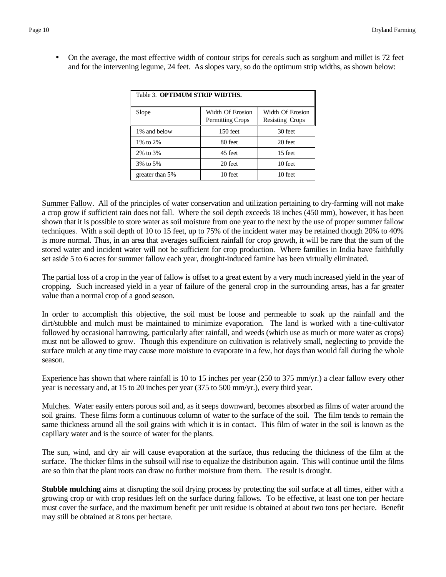• On the average, the most effective width of contour strips for cereals such as sorghum and millet is 72 feet and for the intervening legume, 24 feet. As slopes vary, so do the optimum strip widths, as shown below:

| Table 3. OPTIMUM STRIP WIDTHS. |                                             |                                            |  |  |  |  |
|--------------------------------|---------------------------------------------|--------------------------------------------|--|--|--|--|
| Slope                          | Width Of Erosion<br><b>Permitting Crops</b> | Width Of Erosion<br><b>Resisting Crops</b> |  |  |  |  |
| 1\% and below                  | $150$ feet                                  | 30 feet                                    |  |  |  |  |
| 1\% to 2\%                     | 80 feet                                     | 20 feet                                    |  |  |  |  |
| 2\% to 3\%                     | 45 feet                                     | 15 feet                                    |  |  |  |  |
| 3% to 5%                       | 20 feet                                     | 10 feet                                    |  |  |  |  |
| greater than 5%                | 10 feet                                     | 10 feet                                    |  |  |  |  |

Summer Fallow. All of the principles of water conservation and utilization pertaining to dry-farming will not make a crop grow if sufficient rain does not fall. Where the soil depth exceeds 18 inches (450 mm), however, it has been shown that it is possible to store water as soil moisture from one year to the next by the use of proper summer fallow techniques. With a soil depth of 10 to 15 feet, up to 75% of the incident water may be retained though 20% to 40% is more normal. Thus, in an area that averages sufficient rainfall for crop growth, it will be rare that the sum of the stored water and incident water will not be sufficient for crop production. Where families in India have faithfully set aside 5 to 6 acres for summer fallow each year, drought-induced famine has been virtually eliminated.

The partial loss of a crop in the year of fallow is offset to a great extent by a very much increased yield in the year of cropping. Such increased yield in a year of failure of the general crop in the surrounding areas, has a far greater value than a normal crop of a good season.

In order to accomplish this objective, the soil must be loose and permeable to soak up the rainfall and the dirt/stubble and mulch must be maintained to minimize evaporation. The land is worked with a tine-cultivator followed by occasional harrowing, particularly after rainfall, and weeds (which use as much or more water as crops) must not be allowed to grow. Though this expenditure on cultivation is relatively small, neglecting to provide the surface mulch at any time may cause more moisture to evaporate in a few, hot days than would fall during the whole season.

Experience has shown that where rainfall is 10 to 15 inches per year (250 to 375 mm/yr.) a clear fallow every other year is necessary and, at 15 to 20 inches per year (375 to 500 mm/yr.), every third year.

Mulches. Water easily enters porous soil and, as it seeps downward, becomes absorbed as films of water around the soil grains. These films form a continuous column of water to the surface of the soil. The film tends to remain the same thickness around all the soil grains with which it is in contact. This film of water in the soil is known as the capillary water and is the source of water for the plants.

The sun, wind, and dry air will cause evaporation at the surface, thus reducing the thickness of the film at the surface. The thicker films in the subsoil will rise to equalize the distribution again. This will continue until the films are so thin that the plant roots can draw no further moisture from them. The result is drought.

**Stubble mulching** aims at disrupting the soil drying process by protecting the soil surface at all times, either with a growing crop or with crop residues left on the surface during fallows. To be effective, at least one ton per hectare must cover the surface, and the maximum benefit per unit residue is obtained at about two tons per hectare. Benefit may still be obtained at 8 tons per hectare.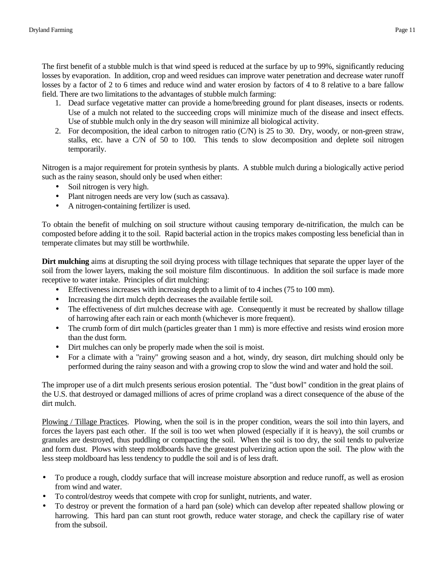The first benefit of a stubble mulch is that wind speed is reduced at the surface by up to 99%, significantly reducing losses by evaporation. In addition, crop and weed residues can improve water penetration and decrease water runoff losses by a factor of 2 to 6 times and reduce wind and water erosion by factors of 4 to 8 relative to a bare fallow field. There are two limitations to the advantages of stubble mulch farming:

- 1. Dead surface vegetative matter can provide a home/breeding ground for plant diseases, insects or rodents. Use of a mulch not related to the succeeding crops will minimize much of the disease and insect effects. Use of stubble mulch only in the dry season will minimize all biological activity.
- 2. For decomposition, the ideal carbon to nitrogen ratio (C/N) is 25 to 30. Dry, woody, or non-green straw, stalks, etc. have a C/N of 50 to 100. This tends to slow decomposition and deplete soil nitrogen temporarily.

Nitrogen is a major requirement for protein synthesis by plants. A stubble mulch during a biologically active period such as the rainy season, should only be used when either:

- Soil nitrogen is very high.
- Plant nitrogen needs are very low (such as cassava).
- A nitrogen-containing fertilizer is used.

To obtain the benefit of mulching on soil structure without causing temporary de-nitrification, the mulch can be composted before adding it to the soil. Rapid bacterial action in the tropics makes composting less beneficial than in temperate climates but may still be worthwhile.

**Dirt mulching** aims at disrupting the soil drying process with tillage techniques that separate the upper layer of the soil from the lower layers, making the soil moisture film discontinuous. In addition the soil surface is made more receptive to water intake. Principles of dirt mulching:

- Effectiveness increases with increasing depth to a limit of to 4 inches (75 to 100 mm).
- Increasing the dirt mulch depth decreases the available fertile soil.
- The effectiveness of dirt mulches decrease with age. Consequently it must be recreated by shallow tillage of harrowing after each rain or each month (whichever is more frequent).
- The crumb form of dirt mulch (particles greater than 1 mm) is more effective and resists wind erosion more than the dust form.
- Dirt mulches can only be properly made when the soil is moist.
- For a climate with a "rainy" growing season and a hot, windy, dry season, dirt mulching should only be performed during the rainy season and with a growing crop to slow the wind and water and hold the soil.

The improper use of a dirt mulch presents serious erosion potential. The "dust bowl" condition in the great plains of the U.S. that destroyed or damaged millions of acres of prime cropland was a direct consequence of the abuse of the dirt mulch.

Plowing / Tillage Practices. Plowing, when the soil is in the proper condition, wears the soil into thin layers, and forces the layers past each other. If the soil is too wet when plowed (especially if it is heavy), the soil crumbs or granules are destroyed, thus puddling or compacting the soil. When the soil is too dry, the soil tends to pulverize and form dust. Plows with steep moldboards have the greatest pulverizing action upon the soil. The plow with the less steep moldboard has less tendency to puddle the soil and is of less draft.

- To produce a rough, cloddy surface that will increase moisture absorption and reduce runoff, as well as erosion from wind and water.
- To control/destroy weeds that compete with crop for sunlight, nutrients, and water.
- To destroy or prevent the formation of a hard pan (sole) which can develop after repeated shallow plowing or harrowing. This hard pan can stunt root growth, reduce water storage, and check the capillary rise of water from the subsoil.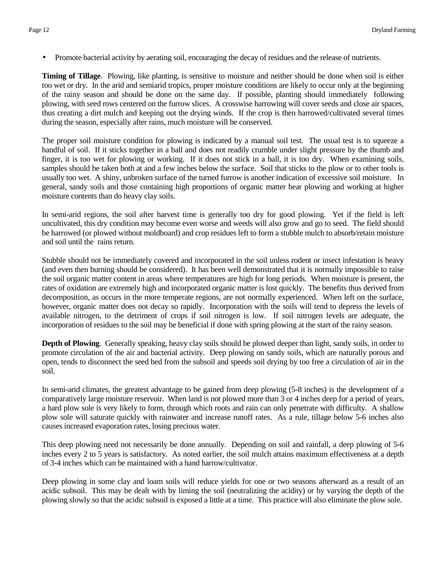• Promote bacterial activity by aerating soil, encouraging the decay of residues and the release of nutrients.

**Timing of Tillage**. Plowing, like planting, is sensitive to moisture and neither should be done when soil is either too wet or dry. In the arid and semiarid tropics, proper moisture conditions are likely to occur only at the beginning of the rainy season and should be done on the same day. If possible, planting should immediately following plowing, with seed rows centered on the furrow slices. A crosswise harrowing will cover seeds and close air spaces, thus creating a dirt mulch and keeping out the drying winds. If the crop is then harrowed/cultivated several times during the season, especially after rains, much moisture will be conserved.

The proper soil moisture condition for plowing is indicated by a manual soil test. The usual test is to squeeze a handful of soil. If it sticks together in a ball and does not readily crumble under slight pressure by the thumb and finger, it is too wet for plowing or working. If it does not stick in a ball, it is too dry. When examining soils, samples should be taken both at and a few inches below the surface. Soil that sticks to the plow or to other tools is usually too wet. A shiny, unbroken surface of the turned furrow is another indication of excessive soil moisture. In general, sandy soils and those containing high proportions of organic matter bear plowing and working at higher moisture contents than do heavy clay soils.

In semi-arid regions, the soil after harvest time is generally too dry for good plowing. Yet if the field is left uncultivated, this dry condition may become even worse and weeds will also grow and go to seed. The field should be harrowed (or plowed without moldboard) and crop residues left to form a stubble mulch to absorb/retain moisture and soil until the rains return.

Stubble should not be immediately covered and incorporated in the soil unless rodent or insect infestation is heavy (and even then burning should be considered). It has been well demonstrated that it is normally impossible to raise the soil organic matter content in areas where temperatures are high for long periods. When moisture is present, the rates of oxidation are extremely high and incorporated organic matter is lost quickly. The benefits thus derived from decomposition, as occurs in the more temperate regions, are not normally experienced. When left on the surface, however, organic matter does not decay so rapidly. Incorporation with the soils will tend to depress the levels of available nitrogen, to the detriment of crops if soil nitrogen is low. If soil nitrogen levels are adequate, the incorporation of residues to the soil may be beneficial if done with spring plowing at the start of the rainy season.

**Depth of Plowing**. Generally speaking, heavy clay soils should be plowed deeper than light, sandy soils, in order to promote circulation of the air and bacterial activity. Deep plowing on sandy soils, which are naturally porous and open, tends to disconnect the seed bed from the subsoil and speeds soil drying by too free a circulation of air in the soil.

In semi-arid climates, the greatest advantage to be gained from deep plowing (5-8 inches) is the development of a comparatively large moisture reservoir. When land is not plowed more than 3 or 4 inches deep for a period of years, a hard plow sole is very likely to form, through which roots and rain can only penetrate with difficulty. A shallow plow sole will saturate quickly with rainwater and increase runoff rates. As a rule, tillage below 5-6 inches also causes increased evaporation rates, losing precious water.

This deep plowing need not necessarily be done annually. Depending on soil and rainfall, a deep plowing of 5-6 inches every 2 to 5 years is satisfactory. As noted earlier, the soil mulch attains maximum effectiveness at a depth of 3-4 inches which can be maintained with a hand harrow/cultivator.

Deep plowing in some clay and loam soils will reduce yields for one or two seasons afterward as a result of an acidic subsoil. This may be dealt with by liming the soil (neutralizing the acidity) or by varying the depth of the plowing slowly so that the acidic subsoil is exposed a little at a time. This practice will also eliminate the plow sole.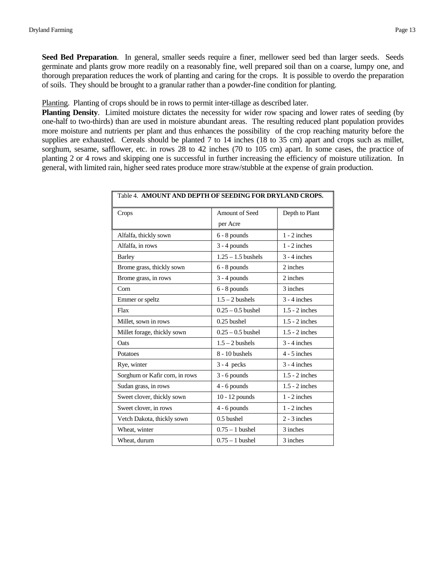**Seed Bed Preparation**. In general, smaller seeds require a finer, mellower seed bed than larger seeds. Seeds germinate and plants grow more readily on a reasonably fine, well prepared soil than on a coarse, lumpy one, and thorough preparation reduces the work of planting and caring for the crops. It is possible to overdo the preparation of soils. They should be brought to a granular rather than a powder-fine condition for planting.

Planting. Planting of crops should be in rows to permit inter-tillage as described later.

**Planting Density**. Limited moisture dictates the necessity for wider row spacing and lower rates of seeding (by one-half to two-thirds) than are used in moisture abundant areas. The resulting reduced plant population provides more moisture and nutrients per plant and thus enhances the possibility of the crop reaching maturity before the supplies are exhausted. Cereals should be planted 7 to 14 inches (18 to 35 cm) apart and crops such as millet, sorghum, sesame, safflower, etc. in rows 28 to 42 inches (70 to 105 cm) apart. In some cases, the practice of planting 2 or 4 rows and skipping one is successful in further increasing the efficiency of moisture utilization. In general, with limited rain, higher seed rates produce more straw/stubble at the expense of grain production.

| Crops                          | Amount of Seed       | Depth to Plant   |
|--------------------------------|----------------------|------------------|
|                                | per Acre             |                  |
| Alfalfa, thickly sown          | $6 - 8$ pounds       | $1 - 2$ inches   |
| Alfalfa, in rows               | $3 - 4$ pounds       | $1 - 2$ inches   |
| <b>Barley</b>                  | $1.25 - 1.5$ bushels | $3 - 4$ inches   |
| Brome grass, thickly sown      | $6 - 8$ pounds       | 2 inches         |
| Brome grass, in rows           | $3 - 4$ pounds       | 2 inches         |
| Com                            | $6 - 8$ pounds       | 3 inches         |
| Emmer or speltz                | $1.5 - 2$ bushels    | $3 - 4$ inches   |
| Flax                           | $0.25 - 0.5$ bushel  | $1.5 - 2$ inches |
| Millet, sown in rows           | $0.25$ bushel        | $1.5 - 2$ inches |
| Millet forage, thickly sown    | $0.25 - 0.5$ bushel  | $1.5 - 2$ inches |
| Oats                           | $1.5 - 2$ bushels    | $3 - 4$ inches   |
| Potatoes                       | 8 - 10 bushels       | $4 - 5$ inches   |
| Rye, winter                    | $3 - 4$ pecks        | $3 - 4$ inches   |
| Sorghum or Kafir corn, in rows | $3 - 6$ pounds       | $1.5 - 2$ inches |
| Sudan grass, in rows           | $4 - 6$ pounds       | $1.5 - 2$ inches |
| Sweet clover, thickly sown     | $10 - 12$ pounds     | $1 - 2$ inches   |
| Sweet clover, in rows          | $4 - 6$ pounds       | $1 - 2$ inches   |
| Vetch Dakota, thickly sown     | 0.5 bushel           | $2 - 3$ inches   |
| Wheat, winter                  | $0.75 - 1$ bushel    | 3 inches         |
| Wheat, durum                   | $0.75 - 1$ bushel    | 3 inches         |
|                                |                      |                  |

Table 4. **AMOUNT AND DEPTH OF SEEDING FOR DRYLAND CROPS.**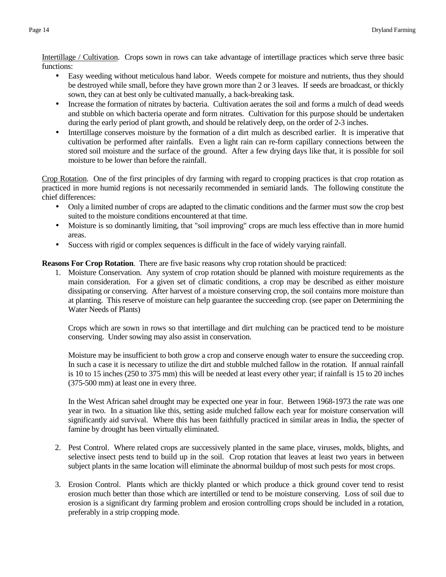Intertillage / Cultivation. Crops sown in rows can take advantage of intertillage practices which serve three basic functions:

- Easy weeding without meticulous hand labor. Weeds compete for moisture and nutrients, thus they should be destroyed while small, before they have grown more than 2 or 3 leaves. If seeds are broadcast, or thickly sown, they can at best only be cultivated manually, a back-breaking task.
- Increase the formation of nitrates by bacteria. Cultivation aerates the soil and forms a mulch of dead weeds and stubble on which bacteria operate and form nitrates. Cultivation for this purpose should be undertaken during the early period of plant growth, and should be relatively deep, on the order of 2-3 inches.
- Intertillage conserves moisture by the formation of a dirt mulch as described earlier. It is imperative that cultivation be performed after rainfalls. Even a light rain can re-form capillary connections between the stored soil moisture and the surface of the ground. After a few drying days like that, it is possible for soil moisture to be lower than before the rainfall.

Crop Rotation. One of the first principles of dry farming with regard to cropping practices is that crop rotation as practiced in more humid regions is not necessarily recommended in semiarid lands. The following constitute the chief differences:

- Only a limited number of crops are adapted to the climatic conditions and the farmer must sow the crop best suited to the moisture conditions encountered at that time.
- Moisture is so dominantly limiting, that "soil improving" crops are much less effective than in more humid areas.
- Success with rigid or complex sequences is difficult in the face of widely varying rainfall.

**Reasons For Crop Rotation**. There are five basic reasons why crop rotation should be practiced:

1. Moisture Conservation. Any system of crop rotation should be planned with moisture requirements as the main consideration. For a given set of climatic conditions, a crop may be described as either moisture dissipating or conserving. After harvest of a moisture conserving crop, the soil contains more moisture than at planting. This reserve of moisture can help guarantee the succeeding crop. (see paper on Determining the Water Needs of Plants)

Crops which are sown in rows so that intertillage and dirt mulching can be practiced tend to be moisture conserving. Under sowing may also assist in conservation.

Moisture may be insufficient to both grow a crop and conserve enough water to ensure the succeeding crop. In such a case it is necessary to utilize the dirt and stubble mulched fallow in the rotation. If annual rainfall is 10 to 15 inches (250 to 375 mm) this will be needed at least every other year; if rainfall is 15 to 20 inches (375-500 mm) at least one in every three.

In the West African sahel drought may be expected one year in four. Between 1968-1973 the rate was one year in two. In a situation like this, setting aside mulched fallow each year for moisture conservation will significantly aid survival. Where this has been faithfully practiced in similar areas in India, the specter of famine by drought has been virtually eliminated.

- 2. Pest Control. Where related crops are successively planted in the same place, viruses, molds, blights, and selective insect pests tend to build up in the soil. Crop rotation that leaves at least two years in between subject plants in the same location will eliminate the abnormal buildup of most such pests for most crops.
- 3. Erosion Control. Plants which are thickly planted or which produce a thick ground cover tend to resist erosion much better than those which are intertilled or tend to be moisture conserving. Loss of soil due to erosion is a significant dry farming problem and erosion controlling crops should be included in a rotation, preferably in a strip cropping mode.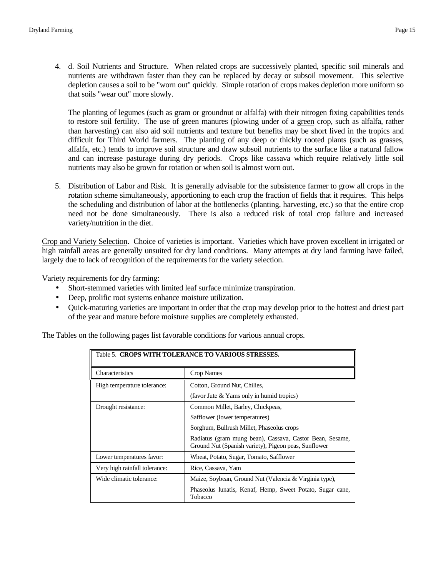4. d. Soil Nutrients and Structure. When related crops are successively planted, specific soil minerals and nutrients are withdrawn faster than they can be replaced by decay or subsoil movement. This selective depletion causes a soil to be "worn out" quickly. Simple rotation of crops makes depletion more uniform so that soils "wear out" more slowly.

The planting of legumes (such as gram or groundnut or alfalfa) with their nitrogen fixing capabilities tends to restore soil fertility. The use of green manures (plowing under of a green crop, such as alfalfa, rather than harvesting) can also aid soil nutrients and texture but benefits may be short lived in the tropics and difficult for Third World farmers. The planting of any deep or thickly rooted plants (such as grasses, alfalfa, etc.) tends to improve soil structure and draw subsoil nutrients to the surface like a natural fallow and can increase pasturage during dry periods. Crops like cassava which require relatively little soil nutrients may also be grown for rotation or when soil is almost worn out.

5. Distribution of Labor and Risk. It is generally advisable for the subsistence farmer to grow all crops in the rotation scheme simultaneously, apportioning to each crop the fraction of fields that it requires. This helps the scheduling and distribution of labor at the bottlenecks (planting, harvesting, etc.) so that the entire crop need not be done simultaneously. There is also a reduced risk of total crop failure and increased variety/nutrition in the diet.

Crop and Variety Selection. Choice of varieties is important. Varieties which have proven excellent in irrigated or high rainfall areas are generally unsuited for dry land conditions. Many attempts at dry land farming have failed, largely due to lack of recognition of the requirements for the variety selection.

Variety requirements for dry farming:

- Short-stemmed varieties with limited leaf surface minimize transpiration.
- Deep, prolific root systems enhance moisture utilization.
- Quick-maturing varieties are important in order that the crop may develop prior to the hottest and driest part of the year and mature before moisture supplies are completely exhausted.

The Tables on the following pages list favorable conditions for various annual crops.

| Table 5. CROPS WITH TOLERANCE TO VARIOUS STRESSES. |                                                                                                                  |  |  |
|----------------------------------------------------|------------------------------------------------------------------------------------------------------------------|--|--|
| <b>Characteristics</b>                             | Crop Names                                                                                                       |  |  |
| High temperature tolerance:                        | Cotton, Ground Nut, Chilies,                                                                                     |  |  |
|                                                    | (favor Jute $&$ Yams only in humid tropics)                                                                      |  |  |
| Drought resistance:                                | Common Millet, Barley, Chickpeas,                                                                                |  |  |
|                                                    | Safflower (lower temperatures)                                                                                   |  |  |
|                                                    | Sorghum, Bullrush Millet, Phaseolus crops                                                                        |  |  |
|                                                    | Radiatus (gram mung bean), Cassava, Castor Bean, Sesame,<br>Ground Nut (Spanish variety), Pigeon peas, Sunflower |  |  |
| Lower temperatures favor:                          | Wheat, Potato, Sugar, Tomato, Safflower                                                                          |  |  |
| Very high rainfall tolerance:                      | Rice, Cassava, Yam                                                                                               |  |  |
| Wide climatic tolerance:                           | Maize, Soybean, Ground Nut (Valencia & Virginia type),                                                           |  |  |
|                                                    | Phaseolus lunatis, Kenaf, Hemp, Sweet Potato, Sugar cane,<br>Tobacco                                             |  |  |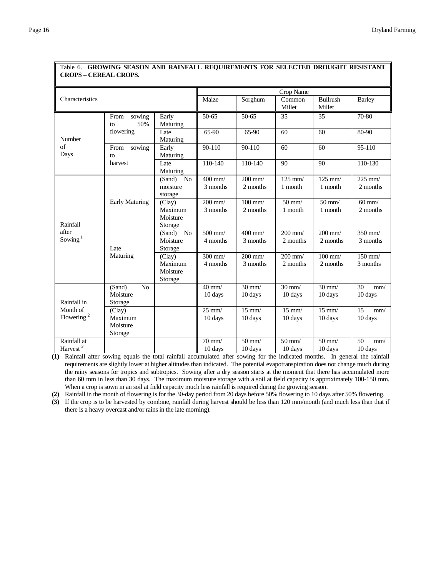| CROI 5 – CEREAL CROI 5.                           |                                                 |                                                 |                                                     |                              |                              |                              |                          |
|---------------------------------------------------|-------------------------------------------------|-------------------------------------------------|-----------------------------------------------------|------------------------------|------------------------------|------------------------------|--------------------------|
|                                                   |                                                 |                                                 | Crop Name                                           |                              |                              |                              |                          |
| Characteristics                                   |                                                 |                                                 | Maize                                               | Sorghum                      | Common<br>Millet             | Bullrush<br>Millet           | <b>Barley</b>            |
|                                                   | sowing<br>From<br>50%<br>to                     | Early<br>Maturing                               | 50-65                                               | 50-65                        | 35                           | 35                           | 70-80                    |
| Number                                            | flowering                                       | Late<br>Maturing                                | 65-90                                               | 65-90                        | 60                           | 60                           | 80-90                    |
| of<br>Days                                        | From<br>sowing<br>$\mathsf{to}$                 | Early<br>Maturing                               | 90-110                                              | 90-110                       | 60                           | 60                           | 95-110                   |
|                                                   | harvest                                         | Late<br>Maturing                                | $110-140$                                           | 110-140                      | 90                           | 90                           | 110-130                  |
| Rainfall<br>after<br>Sowing <sup>1</sup>          |                                                 | No<br>(Sand)<br>moisture<br>storage             | $400$ mm/<br>3 months                               | $200$ mm/<br>2 months        | $125$ mm/<br>1 month         | $125$ mm/<br>1 month         | $225$ mm/<br>2 months    |
|                                                   | <b>Early Maturing</b>                           | (Clay)<br>Maximum<br>Moisture<br>Storage        | $200$ mm/<br>3 months                               | $100 \text{ mm}$<br>2 months | $50 \text{ mm}$ /<br>1 month | $50$ mm/<br>1 month          | $60$ mm/<br>2 months     |
|                                                   | Late                                            | N <sub>o</sub><br>(Sand)<br>Moisture<br>Storage | $\frac{500 \text{ mm}}{200 \text{ mm}}$<br>4 months | $400$ mm/<br>3 months        | $200$ mm/<br>2 months        | $200$ mm/<br>2 months        | 350 mm/<br>3 months      |
|                                                   |                                                 | Maturing                                        | (Clay)<br>Maximum<br>Moisture<br>Storage            | $300$ mm/<br>4 months        | $200$ mm $/$<br>3 months     | $200$ mm/<br>2 months        | $100$ mm $/$<br>2 months |
| Rainfall in<br>Month of<br>Flowering <sup>2</sup> | (Sand)<br>N <sub>o</sub><br>Moisture<br>Storage |                                                 | $40 \text{ mm}$<br>10 days                          | $30 \text{ mm}$<br>10 days   | $30 \text{ mm}$<br>10 days   | $30 \text{ mm}$<br>10 days   | 30<br>mm/<br>10 days     |
|                                                   | (Clay)<br>Maximum<br>Moisture<br>Storage        |                                                 | $25$ mm/<br>10 days                                 | $15 \text{ mm}$ /<br>10 days | $15 \text{ mm}$ /<br>10 days | $15 \text{ mm}$ /<br>10 days | 15<br>mm/<br>10 days     |
| Rainfall at<br>Harvest <sup>3</sup>               |                                                 |                                                 | $\overline{70}$ mm/<br>10 days                      | $50$ mm/<br>10 days          | $50 \text{ mm}$ /<br>10 days | $50 \text{ mm}$ /<br>10 days | 50<br>mm/<br>10 days     |

#### Table 6. **GROWING SEASON AND RAINFALL REQUIREMENTS FOR SELECTED DROUGHT RESISTANT CROPS – CEREAL CROPS.**

**(1)** Rainfall after sowing equals the total rainfall accumulated after sowing for the indicated months. In general the rainfall requirements are slightly lower at higher altitudes than indicated. The potential evapotranspiration does not change much during the rainy seasons for tropics and subtropics. Sowing after a dry season starts at the moment that there has accumulated more than 60 mm in less than 30 days. The maximum moisture storage with a soil at field capacity is approximately 100-150 mm. When a crop is sown in an soil at field capacity much less rainfall is required during the growing season.

**(2)** Rainfall in the month of flowering is for the 30-day period from 20 days before 50% flowering to 10 days after 50% flowering.

**(3)** If the crop is to be harvested by combine, rainfall during harvest should be less than 120 mm/month (and much less than that if there is a heavy overcast and/or rains in the late morning).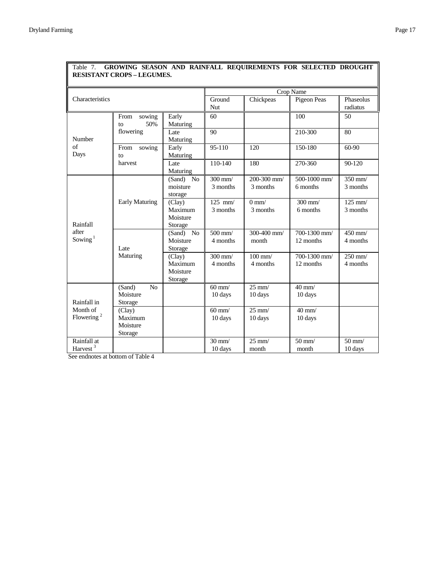|                                                   | RESISTANT CROPS – LEGUMES.                      |                                          |                              |                              |                              |                                |
|---------------------------------------------------|-------------------------------------------------|------------------------------------------|------------------------------|------------------------------|------------------------------|--------------------------------|
|                                                   |                                                 |                                          | Crop Name                    |                              |                              |                                |
| Characteristics                                   |                                                 |                                          | Ground<br>Nut                | Chickpeas                    | Pigeon Peas                  | Phaseolus<br>radiatus          |
|                                                   | sowing<br>From<br>50%<br>to                     | Early<br>Maturing                        | 60                           |                              | 100                          | 50                             |
| Number                                            | flowering                                       | Late<br>Maturing                         | 90                           |                              | 210-300                      | 80                             |
| $\sigma$ f<br>Days                                | From<br>sowing<br>to                            | Early<br>Maturing                        | 95-110                       | 120                          | 150-180                      | 60-90                          |
|                                                   | harvest                                         | Late<br>Maturing                         | 110-140                      | 180                          | 270-360                      | 90-120                         |
| Rainfall<br>after<br>Sowing $1$                   |                                                 | (Sand)<br>No<br>moisture<br>storage      | $300$ mm/<br>3 months        | $200 - 300$ mm/<br>3 months  | 500-1000 mm/<br>6 months     | $350$ mm/<br>3 months          |
|                                                   | <b>Early Maturing</b>                           | (Clay)<br>Maximum<br>Moisture<br>Storage | $125$ mm/<br>3 months        | $0 \text{ mm}$<br>3 months   | $300$ mm/<br>6 months        | $125$ mm/<br>3 months          |
|                                                   | Late                                            | (Sand) No<br>Moisture<br>Storage         | $500$ mm/<br>4 months        | $300-400$ mm/<br>month       | 700-1300 mm/<br>12 months    | $450$ mm/<br>4 months          |
|                                                   | Maturing                                        | (Clay)<br>Maximum<br>Moisture<br>Storage | $300$ mm/<br>4 months        | $100 \text{ mm}$<br>4 months | 700-1300 mm/<br>12 months    | $250$ mm/<br>4 months          |
| Rainfall in<br>Month of<br>Flowering <sup>2</sup> | (Sand)<br>N <sub>o</sub><br>Moisture<br>Storage |                                          | $60$ mm/<br>10 days          | $25$ mm/<br>10 days          | $40 \text{ mm}$ /<br>10 days |                                |
|                                                   | (Clay)<br>Maximum<br>Moisture<br>Storage        |                                          | $60$ mm/<br>10 days          | $25$ mm/<br>10 days          | $40 \text{ mm}$<br>10 days   |                                |
| Rainfall at<br>Harvest <sup>3</sup>               |                                                 |                                          | $30 \text{ mm}$ /<br>10 days | $25 \text{ mm}$ /<br>month   | $50$ mm/<br>month            | $\overline{50}$ mm/<br>10 days |

## Table 7. **GROWING SEASON AND RAINFALL REQUIREMENTS FOR SELECTED DROUGHT RESISTANT CROPS – LEGUMES.**

See endnotes at bottom of Table 4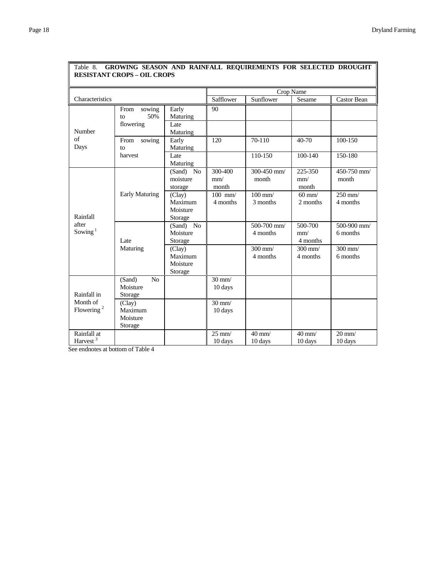| Crop Name                           |                                                 |                                          |                                |                                |                            |                                |
|-------------------------------------|-------------------------------------------------|------------------------------------------|--------------------------------|--------------------------------|----------------------------|--------------------------------|
| Characteristics                     |                                                 |                                          | Safflower                      | Sunflower                      | Sesame                     | <b>Castor Bean</b>             |
|                                     | From<br>sowing<br>50%<br>to<br>flowering        | Early<br>Maturing<br>Late                | 90                             |                                |                            |                                |
| Number<br>of<br>Days                | From<br>sowing<br>to                            | Maturing<br>Early<br>Maturing            | 120                            | 70-110                         | 40-70                      | 100-150                        |
|                                     | harvest                                         | Late<br>Maturing                         |                                | 110-150                        | $100 - 140$                | 150-180                        |
| Rainfall                            |                                                 | (Sand) No<br>moisture<br>storage         | 300-400<br>mm/<br>month        | 300-450 mm/<br>month           | 225-350<br>mm/<br>month    | 450-750 mm/<br>month           |
|                                     | <b>Early Maturing</b>                           | (Clay)<br>Maximum<br>Moisture<br>Storage | $100$ mm/<br>4 months          | $100 \text{ mm}$ /<br>3 months | $60$ mm/<br>2 months       | $250$ mm/<br>4 months          |
| after<br>Sowing $1$                 | Late                                            | $(Sand)$ No<br>Moisture<br>Storage       |                                | $500-700$ mm/<br>4 months      | 500-700<br>mm/<br>4 months | 500-900 mm/<br>6 months        |
|                                     | Maturing                                        | (Clay)<br>Maximum<br>Moisture<br>Storage |                                | 300 mm/<br>4 months            | $300$ mm/<br>4 months      | $300$ mm/<br>6 months          |
| Rainfall in                         | (Sand)<br>N <sub>0</sub><br>Moisture<br>Storage |                                          | $30 \text{ mm}$<br>10 days     |                                |                            |                                |
| Month of<br>Flowering $2$           | (Clay)<br>Maximum<br>Moisture<br>Storage        |                                          | $30 \text{ mm}$ /<br>10 days   |                                |                            |                                |
| Rainfall at<br>Harvest <sup>3</sup> |                                                 |                                          | $\overline{25}$ mm/<br>10 days | $40$ mm $/$<br>10 days         | $40$ mm $/$<br>10 days     | $\overline{20}$ mm/<br>10 days |

### Table 8. **GROWING SEASON AND RAINFALL REQUIREMENTS FOR SELECTED DROUGHT RESISTANT CROPS – OIL CROPS**

See endnotes at bottom of Table 4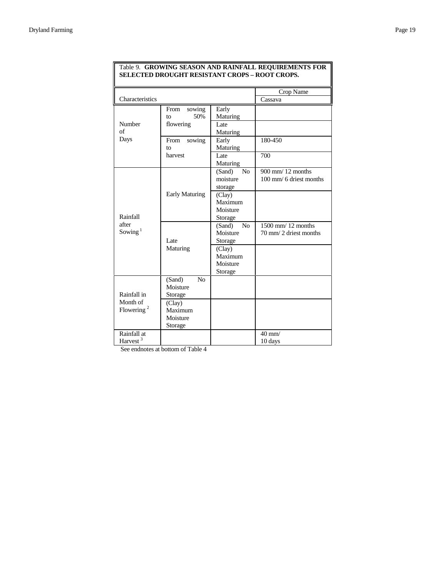|                        |                       |                          | Crop Name                        |
|------------------------|-----------------------|--------------------------|----------------------------------|
| Characteristics        |                       |                          | Cassava                          |
|                        | From<br>sowing        | Early                    |                                  |
|                        | 50%<br>to             | Maturing                 |                                  |
| Number                 | flowering             | Late                     |                                  |
| of                     |                       | Maturing                 |                                  |
| Days                   | From<br>sowing        | Early                    | 180-450                          |
|                        | to                    | Maturing                 |                                  |
|                        | harvest               | Late                     | 700                              |
|                        |                       | Maturing                 |                                  |
|                        |                       | N <sub>0</sub><br>(Sand) | $900$ mm $/$ 12 months           |
|                        |                       | moisture                 | $100 \text{ mm}$ 6 driest months |
|                        |                       | storage                  |                                  |
|                        | <b>Early Maturing</b> | (Clay)                   |                                  |
|                        |                       | Maximum                  |                                  |
|                        |                       | Moisture                 |                                  |
| Rainfall               |                       | Storage                  |                                  |
| after                  |                       | No<br>(Sand)             | $1500$ mm $/ 12$ months          |
| Sowing $1$             |                       | Moisture                 | 70 mm/2 driest months            |
|                        | Late                  | Storage                  |                                  |
|                        | Maturing              | (Clay)                   |                                  |
|                        |                       | Maximum                  |                                  |
|                        |                       | Moisture                 |                                  |
|                        |                       | Storage                  |                                  |
|                        | No<br>(Sand)          |                          |                                  |
|                        | Moisture              |                          |                                  |
| Rainfall in            | Storage               |                          |                                  |
| Month of               | (Clay)                |                          |                                  |
| Flowering <sup>2</sup> | Maximum               |                          |                                  |
|                        | Moisture              |                          |                                  |
|                        | Storage               |                          |                                  |
| Rainfall at            |                       |                          | $40$ mm/                         |
| Harvest <sup>3</sup>   |                       |                          | 10 days                          |

#### Table 9. **GROWING SEASON AND RAINFALL REQUIREMENTS FOR SELECTED DROUGHT RESISTANT CROPS – ROOT CROPS.**

See endnotes at bottom of Table 4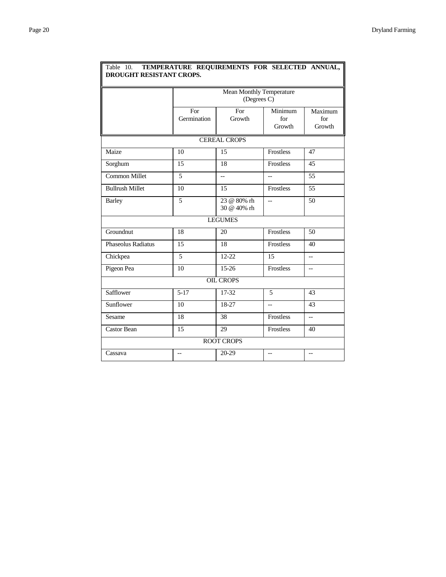| DROUGHT RESISTANT CROPS. |                                         |                            |                          |                          |  |  |  |  |
|--------------------------|-----------------------------------------|----------------------------|--------------------------|--------------------------|--|--|--|--|
|                          | Mean Monthly Temperature<br>(Degrees C) |                            |                          |                          |  |  |  |  |
|                          | For<br>Germination                      | For<br>Growth              | Minimum<br>for<br>Growth | Maximum<br>for<br>Growth |  |  |  |  |
| <b>CEREAL CROPS</b>      |                                         |                            |                          |                          |  |  |  |  |
| Maize                    | 10                                      | 15                         | <b>Frostless</b>         | 47                       |  |  |  |  |
| Sorghum                  | 15                                      | 18                         | Frostless                | 45                       |  |  |  |  |
| <b>Common Millet</b>     | 5                                       | $\overline{a}$             | $\overline{\phantom{a}}$ | 55                       |  |  |  |  |
| <b>Bullrush Millet</b>   | 10                                      | 15                         | Frostless                | $\overline{55}$          |  |  |  |  |
| <b>Barley</b>            | $\overline{5}$                          | 23 @ 80% rh<br>30 @ 40% rh | $\overline{a}$           | 50                       |  |  |  |  |
| <b>LEGUMES</b>           |                                         |                            |                          |                          |  |  |  |  |
| Groundnut                | 18                                      | 20                         | Frostless                | 50                       |  |  |  |  |
| Phaseolus Radiatus       | 15                                      | 18                         | Frostless                | 40                       |  |  |  |  |
| Chickpea                 | 5                                       | $12 - 22$                  | 15                       | $\overline{a}$           |  |  |  |  |
| Pigeon Pea               | 10                                      | 15-26                      | Frostless                | $-$                      |  |  |  |  |
| <b>OIL CROPS</b>         |                                         |                            |                          |                          |  |  |  |  |
| Safflower                | $5 - 17$                                | 17-32                      | 5                        | 43                       |  |  |  |  |
| Sunflower                | 10                                      | 18-27                      | $-$                      | 43                       |  |  |  |  |
| Sesame                   | 18                                      | 38                         | Frostless                | $\overline{a}$           |  |  |  |  |
| Castor Bean              | 15                                      | 29                         | Frostless                | 40                       |  |  |  |  |
| <b>ROOT CROPS</b>        |                                         |                            |                          |                          |  |  |  |  |
| Cassava                  | $-$                                     | 20-29                      | $-$                      | --                       |  |  |  |  |

#### Table 10. **TEMPERATURE REQUIREMENTS FOR SELECTED ANNUAL, DROUGHT RESISTANT CROPS.**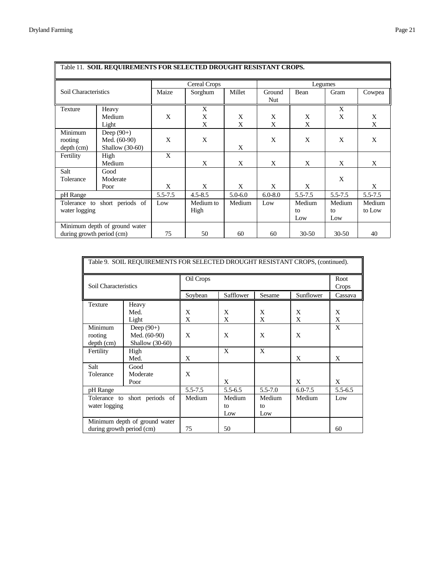| Table 11. SOIL REQUIREMENTS FOR SELECTED DROUGHT RESISTANT CROPS. |                                                 |                     |                   |             |               |                     |                     |                  |
|-------------------------------------------------------------------|-------------------------------------------------|---------------------|-------------------|-------------|---------------|---------------------|---------------------|------------------|
|                                                                   |                                                 | <b>Cereal Crops</b> |                   |             | Legumes       |                     |                     |                  |
| Soil Characteristics                                              |                                                 | Maize               | Sorghum           | Millet      | Ground<br>Nut | Bean                | Gram                | Cowpea           |
| <b>Texture</b>                                                    | Heavy<br>Medium<br>Light                        | X                   | X<br>X<br>X       | X<br>X      | X<br>X        | X<br>X              | X<br>X              | X<br>X           |
| Minimum<br>rooting<br>$depth$ (cm)                                | Deep $(90+)$<br>Med. (60-90)<br>Shallow (30-60) | X                   | X                 | X           | X             | X                   | X                   | X                |
| Fertility                                                         | High<br>Medium                                  | X                   | X                 | X           | X             | X                   | X                   | X                |
| Salt<br>Tolerance                                                 | Good<br>Moderate<br>Poor                        | X                   | X                 | X           | X             | X                   | X                   | X                |
| pH Range                                                          |                                                 | 5.5-7.5             | $4.5 - 8.5$       | $5.0 - 6.0$ | $6.0 - 8.0$   | 5.5-7.5             | $5.5 - 7.5$         | $5.5 - 7.5$      |
| short periods of<br>Tolerance to<br>water logging                 |                                                 | Low                 | Medium to<br>High | Medium      | Low           | Medium<br>to<br>Low | Medium<br>to<br>Low | Medium<br>to Low |
| Minimum depth of ground water<br>during growth period (cm)        |                                                 | 75                  | 50                | 60          | 60            | $30 - 50$           | $30 - 50$           | 40               |

| Table 9. SOIL REQUIREMENTS FOR SELECTED DROUGHT RESISTANT CROPS, (continued). |                                                 |             |                     |                     |             |             |  |
|-------------------------------------------------------------------------------|-------------------------------------------------|-------------|---------------------|---------------------|-------------|-------------|--|
| Soil Characteristics                                                          |                                                 | Oil Crops   | Root<br>Crops       |                     |             |             |  |
|                                                                               |                                                 | Soybean     | Safflower           | Sesame              | Sunflower   | Cassava     |  |
| Texture                                                                       | Heavy<br>Med.<br>Light                          | X<br>X      | X<br>X              | X<br>X              | X<br>X      | X<br>X      |  |
| Minimum<br>rooting<br>$depth$ (cm)                                            | Deep $(90+)$<br>Med. (60-90)<br>Shallow (30-60) | X           | X                   | X                   | X           | X           |  |
| Fertility                                                                     | High<br>Med.                                    | X           | X                   | X                   | X           | X           |  |
| Salt<br>Tolerance                                                             | Good<br>Moderate<br>Poor                        | X           | X                   |                     | X           | X           |  |
| pH Range                                                                      |                                                 | $5.5 - 7.5$ | $5.5 - 6.5$         | $5.5 - 7.0$         | $6.0 - 7.5$ | $5.5 - 6.5$ |  |
| short periods of<br>Tolerance to<br>water logging                             |                                                 | Medium      | Medium<br>to<br>Low | Medium<br>to<br>Low | Medium      | Low         |  |
| Minimum depth of ground water<br>during growth period (cm)                    |                                                 | 75          | 50                  |                     |             | 60          |  |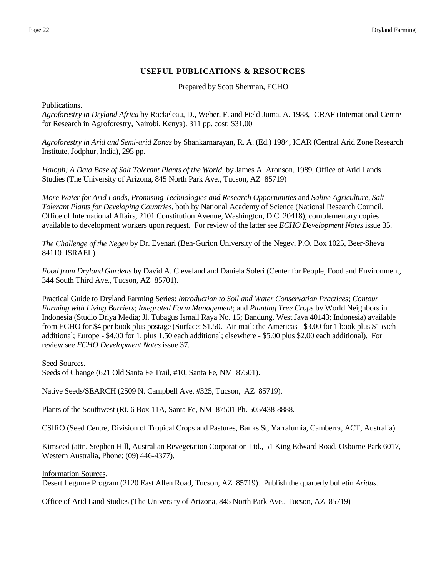# **USEFUL PUBLICATIONS & RESOURCES**

Prepared by Scott Sherman, ECHO

# <span id="page-21-0"></span>Publications.

*Agroforestry in Dryland Africa* by Rockeleau, D., Weber, F. and Field-Juma, A. 1988, ICRAF (International Centre for Research in Agroforestry, Nairobi, Kenya). 311 pp. cost: \$31.00

*Agroforestry in Arid and Semi-arid Zones* by Shankarnarayan, R. A. (Ed.) 1984, ICAR (Central Arid Zone Research Institute, Jodphur, India), 295 pp.

*Haloph; A Data Base of Salt Tolerant Plants of the World*, by James A. Aronson, 1989, Office of Arid Lands Studies (The University of Arizona, 845 North Park Ave., Tucson, AZ 85719)

*More Water for Arid Lands, Promising Technologies and Research Opportunities* and *Saline Agriculture, Salt-Tolerant Plants for Developing Countries*, both by National Academy of Science (National Research Council, Office of International Affairs, 2101 Constitution Avenue, Washington, D.C. 20418), complementary copies available to development workers upon request. For review of the latter see *ECHO Development Notes* issue 35.

*The Challenge of the Negev* by Dr. Evenari (Ben-Gurion University of the Negev, P.O. Box 1025, Beer-Sheva 84110 ISRAEL)

*Food from Dryland Gardens* by David A. Cleveland and Daniela Soleri (Center for People, Food and Environment, 344 South Third Ave., Tucson, AZ 85701).

Practical Guide to Dryland Farming Series: *Introduction to Soil and Water Conservation Practices*; *Contour Farming with Living Barriers*; *Integrated Farm Management*; and *Planting Tree Crops* by World Neighbors in Indonesia (Studio Driya Media; Jl. Tubagus Ismail Raya No. 15; Bandung, West Java 40143; Indonesia) available from ECHO for \$4 per book plus postage (Surface: \$1.50. Air mail: the Americas - \$3.00 for 1 book plus \$1 each additional; Europe - \$4.00 for 1, plus 1.50 each additional; elsewhere - \$5.00 plus \$2.00 each additional). For review see *ECHO Development Notes* issue 37.

## Seed Sources.

Seeds of Change (621 Old Santa Fe Trail, #10, Santa Fe, NM 87501).

Native Seeds/SEARCH (2509 N. Campbell Ave. #325, Tucson, AZ 85719).

Plants of the Southwest (Rt. 6 Box 11A, Santa Fe, NM 87501 Ph. 505/438-8888.

CSIRO (Seed Centre, Division of Tropical Crops and Pastures, Banks St, Yarralumia, Camberra, ACT, Australia).

Kimseed (attn. Stephen Hill, Australian Revegetation Corporation Ltd., 51 King Edward Road, Osborne Park 6017, Western Australia, Phone: (09) 446-4377).

Information Sources.

Desert Legume Program (2120 East Allen Road, Tucson, AZ 85719). Publish the quarterly bulletin *Aridus.*

Office of Arid Land Studies (The University of Arizona, 845 North Park Ave., Tucson, AZ 85719)